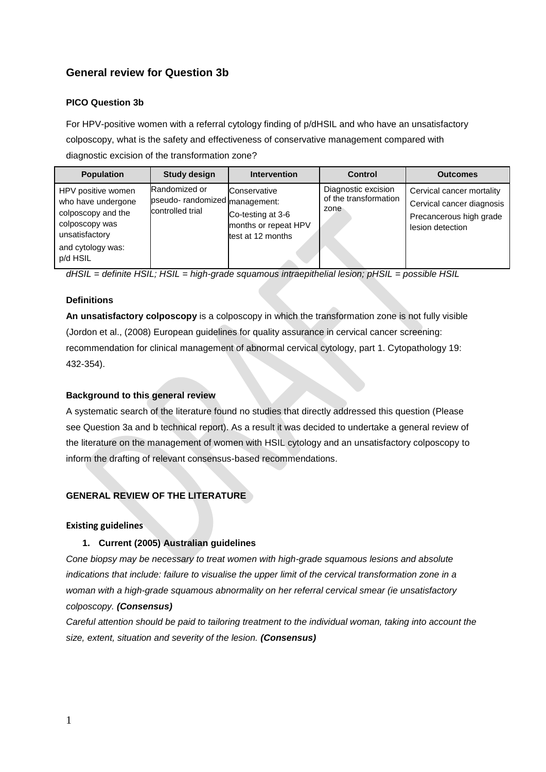# **General review for Question 3b**

### **PICO Question 3b**

For HPV-positive women with a referral cytology finding of p/dHSIL and who have an unsatisfactory colposcopy, what is the safety and effectiveness of conservative management compared with diagnostic excision of the transformation zone?

| <b>Population</b>                                                                                                                   | <b>Study design</b>                                                 | <b>Intervention</b>                                                            | <b>Control</b>                                       | <b>Outcomes</b>                                                                                       |
|-------------------------------------------------------------------------------------------------------------------------------------|---------------------------------------------------------------------|--------------------------------------------------------------------------------|------------------------------------------------------|-------------------------------------------------------------------------------------------------------|
| HPV positive women<br>who have undergone<br>colposcopy and the<br>colposcopy was<br>unsatisfactory<br>and cytology was:<br>p/d HSIL | Randomized or<br>pseudo- randomized management:<br>controlled trial | Conservative<br>Co-testing at 3-6<br>months or repeat HPV<br>test at 12 months | Diagnostic excision<br>of the transformation<br>zone | Cervical cancer mortality<br>Cervical cancer diagnosis<br>Precancerous high grade<br>lesion detection |

*dHSIL = definite HSIL; HSIL = high-grade squamous intraepithelial lesion; pHSIL = possible HSIL*

### **Definitions**

**An unsatisfactory colposcopy** is a colposcopy in which the transformation zone is not fully visible (Jordon et al., (2008) European guidelines for quality assurance in cervical cancer screening: recommendation for clinical management of abnormal cervical cytology, part 1. Cytopathology 19: 432-354).

#### **Background to this general review**

A systematic search of the literature found no studies that directly addressed this question (Please see Question 3a and b technical report). As a result it was decided to undertake a general review of the literature on the management of women with HSIL cytology and an unsatisfactory colposcopy to inform the drafting of relevant consensus-based recommendations.

# **GENERAL REVIEW OF THE LITERATURE**

#### **Existing guidelines**

#### **1. Current (2005) Australian guidelines**

*Cone biopsy may be necessary to treat women with high-grade squamous lesions and absolute indications that include: failure to visualise the upper limit of the cervical transformation zone in a woman with a high-grade squamous abnormality on her referral cervical smear (ie unsatisfactory colposcopy. (Consensus)*

*Careful attention should be paid to tailoring treatment to the individual woman, taking into account the size, extent, situation and severity of the lesion. (Consensus)*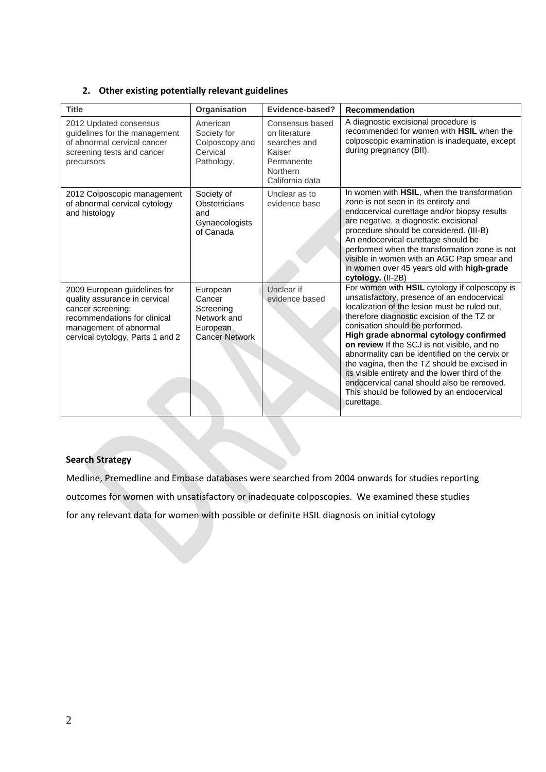## **2. Other existing potentially relevant guidelines**

| <b>Title</b>                                                                                                                                                                     | Organisation                                                                        | Evidence-based?                                                                                         | <b>Recommendation</b>                                                                                                                                                                                                                                                                                                                                                                                                                                                                                                                                                                  |
|----------------------------------------------------------------------------------------------------------------------------------------------------------------------------------|-------------------------------------------------------------------------------------|---------------------------------------------------------------------------------------------------------|----------------------------------------------------------------------------------------------------------------------------------------------------------------------------------------------------------------------------------------------------------------------------------------------------------------------------------------------------------------------------------------------------------------------------------------------------------------------------------------------------------------------------------------------------------------------------------------|
| 2012 Updated consensus<br>guidelines for the management<br>of abnormal cervical cancer<br>screening tests and cancer<br>precursors                                               | American<br>Society for<br>Colposcopy and<br>Cervical<br>Pathology.                 | Consensus based<br>on literature<br>searches and<br>Kaiser<br>Permanente<br>Northern<br>California data | A diagnostic excisional procedure is<br>recommended for women with HSIL when the<br>colposcopic examination is inadequate, except<br>during pregnancy (BII).                                                                                                                                                                                                                                                                                                                                                                                                                           |
| 2012 Colposcopic management<br>of abnormal cervical cytology<br>and histology                                                                                                    | Society of<br>Obstetricians<br>and<br>Gynaecologists<br>of Canada                   | Unclear as to<br>evidence base                                                                          | In women with HSIL, when the transformation<br>zone is not seen in its entirety and<br>endocervical curettage and/or biopsy results<br>are negative, a diagnostic excisional<br>procedure should be considered. (III-B)<br>An endocervical curettage should be<br>performed when the transformation zone is not<br>visible in women with an AGC Pap smear and<br>in women over 45 years old with high-grade<br>cytology. (II-2B)                                                                                                                                                       |
| 2009 European guidelines for<br>quality assurance in cervical<br>cancer screening:<br>recommendations for clinical<br>management of abnormal<br>cervical cytology, Parts 1 and 2 | European<br>Cancer<br>Screening<br>Network and<br>European<br><b>Cancer Network</b> | Unclear if<br>evidence based                                                                            | For women with HSIL cytology if colposcopy is<br>unsatisfactory, presence of an endocervical<br>localization of the lesion must be ruled out,<br>therefore diagnostic excision of the TZ or<br>conisation should be performed.<br>High grade abnormal cytology confirmed<br>on review If the SCJ is not visible, and no<br>abnormality can be identified on the cervix or<br>the vagina, then the TZ should be excised in<br>its visible entirety and the lower third of the<br>endocervical canal should also be removed.<br>This should be followed by an endocervical<br>curettage. |

### **Search Strategy**

Medline, Premedline and Embase databases were searched from 2004 onwards for studies reporting outcomes for women with unsatisfactory or inadequate colposcopies. We examined these studies for any relevant data for women with possible or definite HSIL diagnosis on initial cytology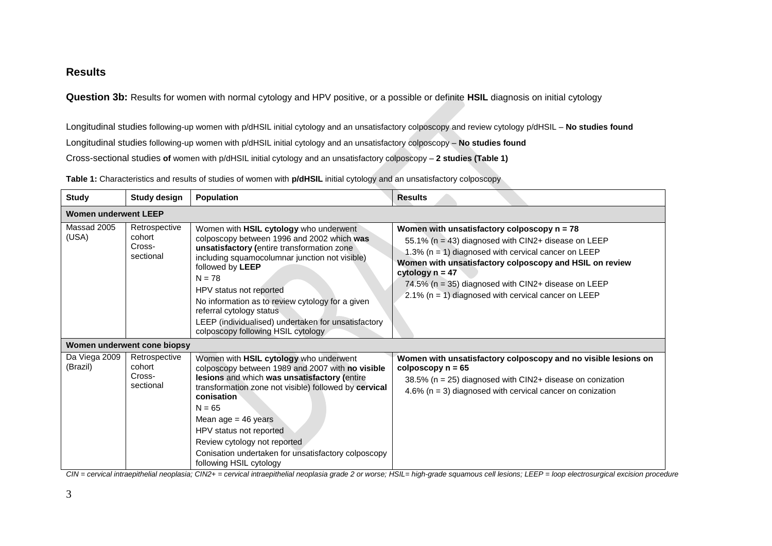# **Results**

**Question 3b:** Results for women with normal cytology and HPV positive, or a possible or definite **HSIL** diagnosis on initial cytology

Longitudinal studies following-up women with p/dHSIL initial cytology and an unsatisfactory colposcopy and review cytology p/dHSIL – **No studies found** Longitudinal studies following-up women with p/dHSIL initial cytology and an unsatisfactory colposcopy – **No studies found** Cross-sectional studies **of** women with p/dHSIL initial cytology and an unsatisfactory colposcopy – **2 studies (Table 1)**

**Table 1:** Characteristics and results of studies of women with **p/dHSIL** initial cytology and an unsatisfactory colposcopy

| <b>Study</b>                | <b>Study design</b>                            | <b>Population</b>                                                                                                                                                                                                                                                                                                                                                                                                            | <b>Results</b>                                                                                                                                                                                                                                                                                                                                                    |  |  |  |
|-----------------------------|------------------------------------------------|------------------------------------------------------------------------------------------------------------------------------------------------------------------------------------------------------------------------------------------------------------------------------------------------------------------------------------------------------------------------------------------------------------------------------|-------------------------------------------------------------------------------------------------------------------------------------------------------------------------------------------------------------------------------------------------------------------------------------------------------------------------------------------------------------------|--|--|--|
| <b>Women underwent LEEP</b> |                                                |                                                                                                                                                                                                                                                                                                                                                                                                                              |                                                                                                                                                                                                                                                                                                                                                                   |  |  |  |
| Massad 2005<br>(USA)        | Retrospective<br>cohort<br>Cross-<br>sectional | Women with HSIL cytology who underwent<br>colposcopy between 1996 and 2002 which was<br>unsatisfactory (entire transformation zone<br>including squamocolumnar junction not visible)<br>followed by LEEP<br>$N = 78$<br>HPV status not reported<br>No information as to review cytology for a given<br>referral cytology status<br>LEEP (individualised) undertaken for unsatisfactory<br>colposcopy following HSIL cytology | Women with unsatisfactory colposcopy $n = 78$<br>55.1% (n = 43) diagnosed with CIN2+ disease on LEEP<br>1.3% ( $n = 1$ ) diagnosed with cervical cancer on LEEP<br>Women with unsatisfactory colposcopy and HSIL on review<br>cytology $n = 47$<br>74.5% (n = 35) diagnosed with CIN2+ disease on LEEP<br>2.1% ( $n = 1$ ) diagnosed with cervical cancer on LEEP |  |  |  |
| Women underwent cone biopsy |                                                |                                                                                                                                                                                                                                                                                                                                                                                                                              |                                                                                                                                                                                                                                                                                                                                                                   |  |  |  |
| Da Viega 2009<br>(Brazil)   | Retrospective<br>cohort<br>Cross-<br>sectional | Women with HSIL cytology who underwent<br>colposcopy between 1989 and 2007 with no visible<br>lesions and which was unsatisfactory (entire<br>transformation zone not visible) followed by cervical<br>conisation<br>$N = 65$<br>Mean $age = 46$ years<br>HPV status not reported<br>Review cytology not reported<br>Conisation undertaken for unsatisfactory colposcopy<br>following HSIL cytology                          | Women with unsatisfactory colposcopy and no visible lesions on<br>colposcopy $n = 65$<br>38.5% ( $n = 25$ ) diagnosed with CIN2+ disease on conization<br>4.6% ( $n = 3$ ) diagnosed with cervical cancer on conization                                                                                                                                           |  |  |  |

*CIN = cervical intraepithelial neoplasia; CIN2+ = cervical intraepithelial neoplasia grade 2 or worse; HSIL= high-grade squamous cell lesions; LEEP = loop electrosurgical excision procedure*